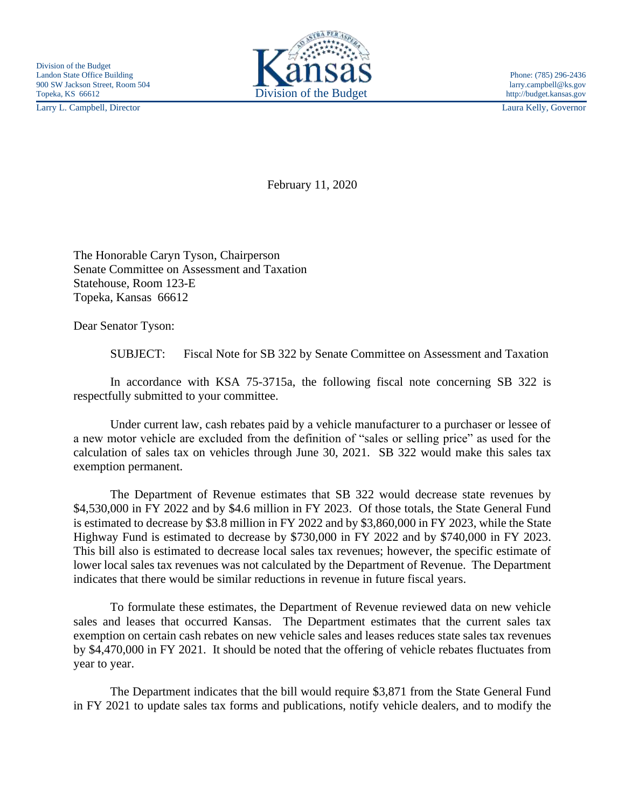Larry L. Campbell, Director Laura Kelly, Governor



February 11, 2020

The Honorable Caryn Tyson, Chairperson Senate Committee on Assessment and Taxation Statehouse, Room 123-E Topeka, Kansas 66612

Dear Senator Tyson:

SUBJECT: Fiscal Note for SB 322 by Senate Committee on Assessment and Taxation

In accordance with KSA 75-3715a, the following fiscal note concerning SB 322 is respectfully submitted to your committee.

Under current law, cash rebates paid by a vehicle manufacturer to a purchaser or lessee of a new motor vehicle are excluded from the definition of "sales or selling price" as used for the calculation of sales tax on vehicles through June 30, 2021. SB 322 would make this sales tax exemption permanent.

The Department of Revenue estimates that SB 322 would decrease state revenues by \$4,530,000 in FY 2022 and by \$4.6 million in FY 2023. Of those totals, the State General Fund is estimated to decrease by \$3.8 million in FY 2022 and by \$3,860,000 in FY 2023, while the State Highway Fund is estimated to decrease by \$730,000 in FY 2022 and by \$740,000 in FY 2023. This bill also is estimated to decrease local sales tax revenues; however, the specific estimate of lower local sales tax revenues was not calculated by the Department of Revenue. The Department indicates that there would be similar reductions in revenue in future fiscal years.

To formulate these estimates, the Department of Revenue reviewed data on new vehicle sales and leases that occurred Kansas. The Department estimates that the current sales tax exemption on certain cash rebates on new vehicle sales and leases reduces state sales tax revenues by \$4,470,000 in FY 2021. It should be noted that the offering of vehicle rebates fluctuates from year to year.

The Department indicates that the bill would require \$3,871 from the State General Fund in FY 2021 to update sales tax forms and publications, notify vehicle dealers, and to modify the